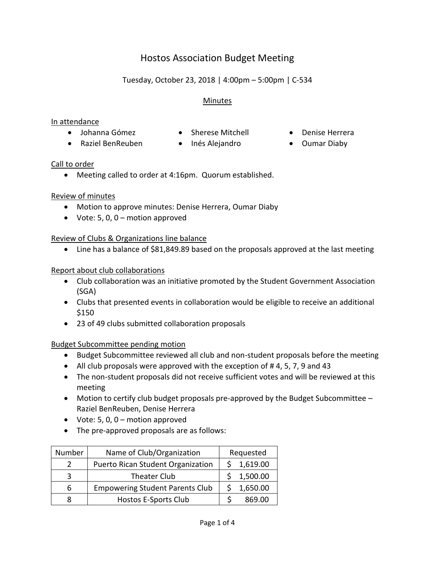# Hostos Association Budget Meeting

# Tuesday, October 23, 2018 | 4:00pm – 5:00pm | C-534

#### Minutes

#### In attendance

- Johanna Gómez Sherese Mitchell Denise Herrera
- 
- Raziel BenReuben Inés Alejandro Oumar Diaby
- 
- 
- 

#### Call to order

Meeting called to order at 4:16pm. Quorum established.

#### Review of minutes

- Motion to approve minutes: Denise Herrera, Oumar Diaby
- $\bullet$  Vote: 5, 0, 0 motion approved

# Review of Clubs & Organizations line balance

• Line has a balance of \$81,849.89 based on the proposals approved at the last meeting

#### Report about club collaborations

- Club collaboration was an initiative promoted by the Student Government Association (SGA)
- Clubs that presented events in collaboration would be eligible to receive an additional \$150
- 23 of 49 clubs submitted collaboration proposals

# Budget Subcommittee pending motion

- Budget Subcommittee reviewed all club and non-student proposals before the meeting
- All club proposals were approved with the exception of #4, 5, 7, 9 and 43
- The non-student proposals did not receive sufficient votes and will be reviewed at this meeting
- Motion to certify club budget proposals pre-approved by the Budget Subcommittee Raziel BenReuben, Denise Herrera
- Vote:  $5, 0, 0$  motion approved
- The pre-approved proposals are as follows:

| Number        | Name of Club/Organization              | Requested |          |
|---------------|----------------------------------------|-----------|----------|
| $\mathcal{P}$ | Puerto Rican Student Organization      |           | 1,619.00 |
| 3             | <b>Theater Club</b>                    |           | 1,500.00 |
| 6             | <b>Empowering Student Parents Club</b> |           | 1,650.00 |
| 8             | <b>Hostos E-Sports Club</b>            |           | 869.00   |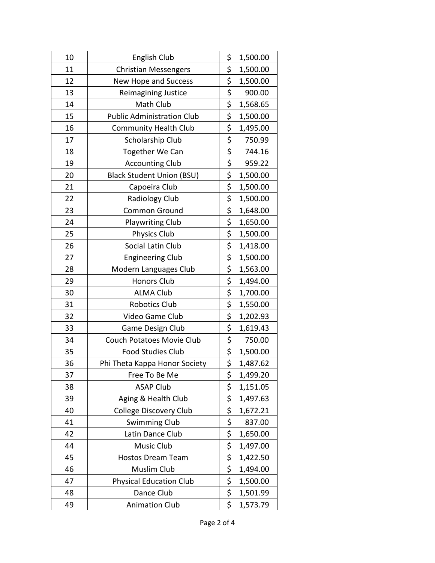| 10 | English Club                      | \$                              | 1,500.00 |
|----|-----------------------------------|---------------------------------|----------|
| 11 | <b>Christian Messengers</b>       | \$                              | 1,500.00 |
| 12 | New Hope and Success              |                                 | 1,500.00 |
| 13 | Reimagining Justice               | $\frac{5}{9}$                   | 900.00   |
| 14 | Math Club                         |                                 | 1,568.65 |
| 15 | <b>Public Administration Club</b> | $rac{5}{5}$                     | 1,500.00 |
| 16 | <b>Community Health Club</b>      |                                 | 1,495.00 |
| 17 | Scholarship Club                  | $\frac{5}{5}$                   | 750.99   |
| 18 | Together We Can                   | $\overline{\mathsf{S}}$         | 744.16   |
| 19 | <b>Accounting Club</b>            | $\overline{\boldsymbol{\zeta}}$ | 959.22   |
| 20 | <b>Black Student Union (BSU)</b>  | \$                              | 1,500.00 |
| 21 | Capoeira Club                     | \$                              | 1,500.00 |
| 22 | <b>Radiology Club</b>             | \$                              | 1,500.00 |
| 23 | Common Ground                     | \$                              | 1,648.00 |
| 24 | <b>Playwriting Club</b>           | \$                              | 1,650.00 |
| 25 | <b>Physics Club</b>               | \$                              | 1,500.00 |
| 26 | Social Latin Club                 | \$                              | 1,418.00 |
| 27 | <b>Engineering Club</b>           | \$                              | 1,500.00 |
| 28 | Modern Languages Club             | \$                              | 1,563.00 |
| 29 | Honors Club                       | \$                              | 1,494.00 |
| 30 | <b>ALMA Club</b>                  | \$                              | 1,700.00 |
| 31 | Robotics Club                     | \$                              | 1,550.00 |
| 32 | Video Game Club                   | \$                              | 1,202.93 |
| 33 | Game Design Club                  | \$                              | 1,619.43 |
| 34 | Couch Potatoes Movie Club         | \$                              | 750.00   |
| 35 | <b>Food Studies Club</b>          | \$                              | 1,500.00 |
| 36 | Phi Theta Kappa Honor Society     | \$                              | 1,487.62 |
| 37 | Free To Be Me                     | \$                              | 1,499.20 |
| 38 | <b>ASAP Club</b>                  | \$                              | 1,151.05 |
| 39 | Aging & Health Club               | \$                              | 1,497.63 |
| 40 | <b>College Discovery Club</b>     | \$                              | 1,672.21 |
| 41 | <b>Swimming Club</b>              | $\overline{\mathsf{S}}$         | 837.00   |
| 42 | Latin Dance Club                  |                                 | 1,650.00 |
| 44 | Music Club                        | $rac{5}{5}$                     | 1,497.00 |
| 45 | <b>Hostos Dream Team</b>          |                                 | 1,422.50 |
| 46 | Muslim Club                       |                                 | 1,494.00 |
| 47 | <b>Physical Education Club</b>    | $rac{5}{5}$                     | 1,500.00 |
| 48 | Dance Club                        | \$                              | 1,501.99 |
| 49 | <b>Animation Club</b>             | \$                              | 1,573.79 |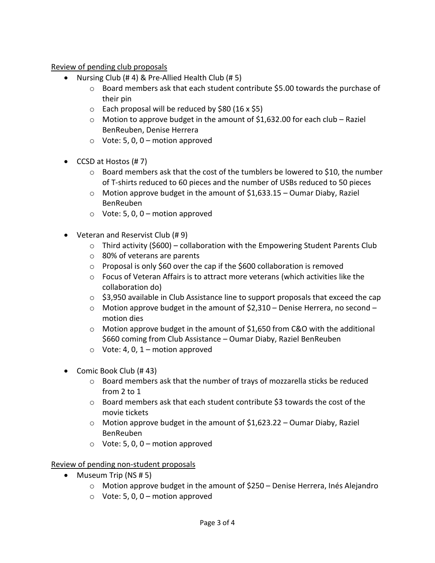Review of pending club proposals

- Nursing Club (# 4) & Pre-Allied Health Club (# 5)
	- o Board members ask that each student contribute \$5.00 towards the purchase of their pin
	- $\circ$  Each proposal will be reduced by \$80 (16 x \$5)
	- o Motion to approve budget in the amount of \$1,632.00 for each club Raziel BenReuben, Denise Herrera
	- $\circ$  Vote: 5, 0, 0 motion approved
- CCSD at Hostos (# 7)
	- $\circ$  Board members ask that the cost of the tumblers be lowered to \$10, the number of T-shirts reduced to 60 pieces and the number of USBs reduced to 50 pieces
	- $\circ$  Motion approve budget in the amount of \$1,633.15 Oumar Diaby, Raziel BenReuben
	- $\circ$  Vote: 5, 0, 0 motion approved
- Veteran and Reservist Club (# 9)
	- $\circ$  Third activity (\$600) collaboration with the Empowering Student Parents Club
	- o 80% of veterans are parents
	- o Proposal is only \$60 over the cap if the \$600 collaboration is removed
	- $\circ$  Focus of Veteran Affairs is to attract more veterans (which activities like the collaboration do)
	- $\circ$  \$3,950 available in Club Assistance line to support proposals that exceed the cap
	- $\circ$  Motion approve budget in the amount of \$2,310 Denise Herrera, no second motion dies
	- $\circ$  Motion approve budget in the amount of \$1,650 from C&O with the additional \$660 coming from Club Assistance – Oumar Diaby, Raziel BenReuben
	- $\circ$  Vote: 4, 0, 1 motion approved
- Comic Book Club (#43)
	- $\circ$  Board members ask that the number of trays of mozzarella sticks be reduced from 2 to 1
	- $\circ$  Board members ask that each student contribute \$3 towards the cost of the movie tickets
	- $\circ$  Motion approve budget in the amount of \$1,623.22 Oumar Diaby, Raziel BenReuben
	- $\circ$  Vote: 5, 0, 0 motion approved

# Review of pending non-student proposals

- $\bullet$  Museum Trip (NS # 5)
	- $\circ$  Motion approve budget in the amount of \$250 Denise Herrera, Inés Alejandro
	- $\circ$  Vote: 5, 0, 0 motion approved